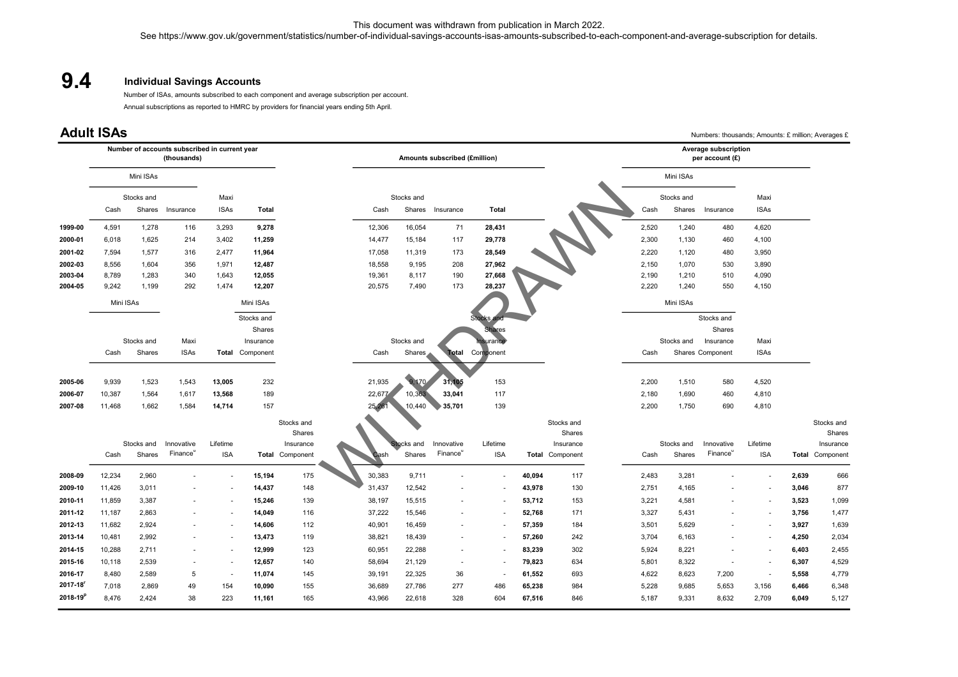## Individual Savings Accounts 9.4

| 9.4                  |                                                                    |                | <b>Individual Savings Accounts</b> |                          |                  |                               | See https://www.gov.uk/government/statistics/number-of-individual-savings-accounts-isas-amounts-subscribed-to-each-component-and-average-subscription for details.<br>Number of ISAs, amounts subscribed to each component and average subscription per account.<br>Annual subscriptions as reported to HMRC by providers for financial years ending 5th April. |                  |                          |                  |                  | This document was withdrawn from publication in March 2022. |                |                |                      |                                                    |                |                     |
|----------------------|--------------------------------------------------------------------|----------------|------------------------------------|--------------------------|------------------|-------------------------------|-----------------------------------------------------------------------------------------------------------------------------------------------------------------------------------------------------------------------------------------------------------------------------------------------------------------------------------------------------------------|------------------|--------------------------|------------------|------------------|-------------------------------------------------------------|----------------|----------------|----------------------|----------------------------------------------------|----------------|---------------------|
|                      | <b>Adult ISAs</b><br>Number of accounts subscribed in current year |                |                                    |                          |                  |                               |                                                                                                                                                                                                                                                                                                                                                                 |                  |                          |                  |                  |                                                             |                |                | Average subscription | Numbers: thousands; Amounts: £ million; Averages £ |                |                     |
|                      | (thousands)                                                        |                |                                    |                          |                  | Amounts subscribed (£million) |                                                                                                                                                                                                                                                                                                                                                                 |                  |                          |                  |                  | per account (£)                                             |                |                |                      |                                                    |                |                     |
|                      | Mini ISAs                                                          |                |                                    |                          |                  |                               |                                                                                                                                                                                                                                                                                                                                                                 |                  |                          |                  |                  |                                                             |                | Mini ISAs      |                      |                                                    |                |                     |
|                      | Stocks and                                                         |                | Maxi                               |                          |                  | Stocks and                    |                                                                                                                                                                                                                                                                                                                                                                 |                  | Stocks and               |                  |                  | Maxi                                                        |                |                |                      |                                                    |                |                     |
|                      | Cash                                                               |                | Shares Insurance                   | <b>ISAs</b>              | Total            |                               | Cash                                                                                                                                                                                                                                                                                                                                                            | Shares           | Insurance                | Total            |                  |                                                             | Cash           | Shares         | Insurance            | <b>ISAs</b>                                        |                |                     |
| 1999-00              | 4,591                                                              | 1,278          | 116                                | 3,293                    | 9,278            |                               | 12,306                                                                                                                                                                                                                                                                                                                                                          | 16,054           | 71                       | 28,431           |                  |                                                             | 2,520          | 1,240          | 480                  | 4,620                                              |                |                     |
| 2000-01              | 6,018                                                              | 1,625          | 214                                | 3,402                    | 11,259           |                               | 14,477                                                                                                                                                                                                                                                                                                                                                          | 15,184           | 117                      | 29,778           |                  |                                                             | 2,300          | 1,130          | 460                  | 4,100                                              |                |                     |
| 2001-02              | 7,594                                                              | 1,577          | 316                                | 2,477                    | 11,964           |                               | 17,058                                                                                                                                                                                                                                                                                                                                                          | 11,319           | 173                      | 28,549           |                  |                                                             | 2,220          | 1,120          | 480                  | 3,950                                              |                |                     |
| 2002-03              | 8,556                                                              | 1,604          | 356                                | 1,971                    | 12,487           |                               | 18,558                                                                                                                                                                                                                                                                                                                                                          | 9,195            | 208                      | 27,962           |                  |                                                             | 2,150          | 1,070          | 530                  | 3,890                                              |                |                     |
| 2003-04<br>2004-05   | 8,789<br>9,242                                                     | 1,283<br>1,199 | 340<br>292                         | 1,643<br>1,474           | 12,055<br>12,207 |                               | 19,361<br>20,575                                                                                                                                                                                                                                                                                                                                                | 8,117<br>7,490   | 190<br>173               | 27,668<br>28,237 |                  |                                                             | 2,190<br>2,220 | 1,210<br>1,240 | 510<br>550           | 4,090<br>4,150                                     |                |                     |
|                      | Mini ISAs                                                          |                |                                    |                          | Mini ISAs        |                               |                                                                                                                                                                                                                                                                                                                                                                 |                  |                          |                  |                  |                                                             |                | Mini ISAs      |                      |                                                    |                |                     |
|                      |                                                                    |                |                                    |                          | Stocks and       |                               |                                                                                                                                                                                                                                                                                                                                                                 |                  |                          |                  |                  |                                                             |                |                | Stocks and           |                                                    |                |                     |
|                      |                                                                    |                |                                    |                          | Shares           |                               |                                                                                                                                                                                                                                                                                                                                                                 |                  |                          | ares             |                  |                                                             |                |                | Shares               |                                                    |                |                     |
|                      |                                                                    | Stocks and     | Maxi                               |                          | Insurance        |                               |                                                                                                                                                                                                                                                                                                                                                                 | Stocks and       |                          | nsurance         |                  |                                                             |                | Stocks and     | Insurance            | Maxi                                               |                |                     |
|                      | Cash                                                               | Shares         | <b>ISAs</b>                        |                          | Total Component  |                               | Cash                                                                                                                                                                                                                                                                                                                                                            | Shares           |                          | Total Component  |                  |                                                             | Cash           |                | Shares Component     | <b>ISAs</b>                                        |                |                     |
| 2005-06              | 9,939                                                              | 1,523          | 1,543                              | 13,005                   | 232              |                               | 21,935                                                                                                                                                                                                                                                                                                                                                          | 9,170            | 31,105                   | 153              |                  |                                                             | 2,200          | 1,510          | 580                  | 4,520                                              |                |                     |
| 2006-07              | 10,387                                                             | 1,564          | 1,617                              | 13,568                   | 189              |                               | 22,677                                                                                                                                                                                                                                                                                                                                                          | 10,363           | 33,041                   | 117              |                  |                                                             | 2,180          | 1,690          | 460                  | 4,810                                              |                |                     |
| 2007-08              | 11,468                                                             | 1,662          | 1,584                              | 14,714                   | 157              |                               | 25,26                                                                                                                                                                                                                                                                                                                                                           | 10,440           | 35,701                   | 139              |                  |                                                             | 2,200          | 1,750          | 690                  | 4,810                                              |                |                     |
|                      |                                                                    |                |                                    |                          |                  | Stocks and                    |                                                                                                                                                                                                                                                                                                                                                                 |                  |                          |                  |                  | Stocks and                                                  |                |                |                      |                                                    |                | Stocks and          |
|                      |                                                                    | Stocks and     | Innovative                         | Lifetime                 |                  | Shares<br>Insurance           |                                                                                                                                                                                                                                                                                                                                                                 | Stocks and       | Innovative               | Lifetime         |                  | Shares<br>Insurance                                         |                | Stocks and     | Innovative           | Lifetime                                           |                | Shares<br>Insurance |
|                      | Cash                                                               | Shares         | Finance                            | <b>ISA</b>               |                  | Total Component               | Cash                                                                                                                                                                                                                                                                                                                                                            | Shares           | Finance                  | <b>ISA</b>       |                  | Total Component                                             | Cash           | Shares         | Finance <sup>u</sup> | <b>ISA</b>                                         |                | Total Component     |
| 2008-09              | 12,234                                                             | 2,960          |                                    |                          | 15,194           | 175                           | 30,383                                                                                                                                                                                                                                                                                                                                                          | 9,711            |                          |                  | 40,094           | 117                                                         | 2,483          | 3,281          |                      |                                                    | 2,639          | 666                 |
| 2009-10              | 11,426                                                             | 3,011          |                                    |                          | 14,437           | 148                           | 31,437                                                                                                                                                                                                                                                                                                                                                          | 12,542           |                          |                  | 43,978           | 130                                                         | 2,751          | 4,165          |                      |                                                    | 3,046          | 877                 |
| 2010-11              | 11,859                                                             | 3,387          | $\blacksquare$                     | $\overline{\phantom{a}}$ | 15,246           | 139                           | 38,197                                                                                                                                                                                                                                                                                                                                                          | 15,515           |                          |                  | 53,712           | 153                                                         | 3,221          | 4,581          |                      | ٠                                                  | 3,523          | 1,099               |
| 2011-12              | 11,187                                                             | 2,863          |                                    |                          | 14,049           | 116                           | 37,222                                                                                                                                                                                                                                                                                                                                                          | 15,546           |                          |                  | 52,768           | 171                                                         | 3,327          | 5,431          |                      |                                                    | 3,756          | 1,477               |
| 2012-13              | 11,682                                                             | 2,924          |                                    |                          | 14,606           | 112                           | 40,901                                                                                                                                                                                                                                                                                                                                                          | 16,459           |                          |                  | 57,359           | 184                                                         | 3,501          | 5,629          |                      |                                                    | 3,927          | 1,639               |
| 2013-14              | 10,481                                                             | 2,992          |                                    |                          | 13,473           | 119                           | 38,821                                                                                                                                                                                                                                                                                                                                                          | 18,439           |                          |                  | 57,260           | 242                                                         | 3,704          | 6,163          |                      |                                                    | 4,250          | 2,034               |
| 2014-15              | 10,288                                                             | 2,711          | $\overline{\phantom{a}}$           |                          | 12,999           | 123                           | 60,951                                                                                                                                                                                                                                                                                                                                                          | 22,288           |                          |                  | 83,239           | 302                                                         | 5,924          | 8,221          |                      |                                                    | 6,403          | 2,455               |
| 2015-16              | 10,118                                                             | 2,539          | $\overline{a}$                     | $\overline{\phantom{a}}$ | 12,657           | 140                           | 58,694                                                                                                                                                                                                                                                                                                                                                          | 21,129           | $\overline{\phantom{a}}$ |                  | 79,823           | 634                                                         | 5,801          | 8,322          |                      | $\overline{\phantom{a}}$                           | 6,307          | 4,529               |
| 2016-17<br>2017-18   | 8,480                                                              | 2,589          | $\sqrt{5}$                         | $\blacksquare$           | 11,074           | 145                           | 39,191                                                                                                                                                                                                                                                                                                                                                          | 22,325           | 36                       |                  | 61,552           | 693                                                         | 4,622          | 8,623          | 7,200                | $\blacksquare$                                     | 5,558          | 4,779               |
| 2018-19 <sup>p</sup> | 7,018<br>8,476                                                     | 2,869<br>2,424 | 49<br>38                           | 154<br>223               | 10,090<br>11,161 | 155<br>165                    | 36,689<br>43,966                                                                                                                                                                                                                                                                                                                                                | 27,786<br>22,618 | 277<br>328               | 486<br>604       | 65,238<br>67,516 | 984<br>846                                                  | 5,228<br>5,187 | 9,685<br>9,331 | 5,653<br>8,632       | 3,156<br>2,709                                     | 6,466<br>6,049 | 6,348<br>5,127      |
|                      |                                                                    |                |                                    |                          |                  |                               |                                                                                                                                                                                                                                                                                                                                                                 |                  |                          |                  |                  |                                                             |                |                |                      |                                                    |                |                     |